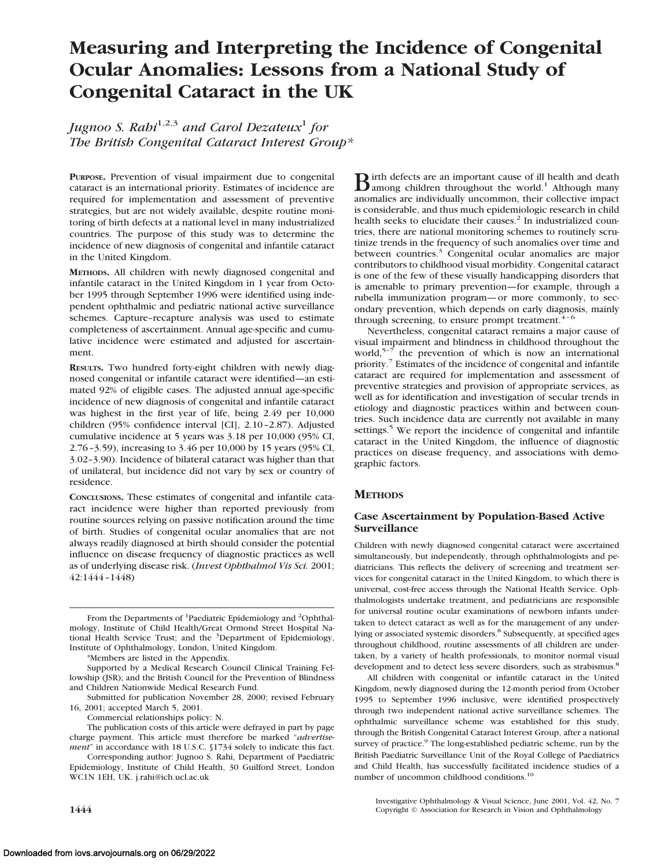# **Measuring and Interpreting the Incidence of Congenital Ocular Anomalies: Lessons from a National Study of Congenital Cataract in the UK**

*Jugnoo S. Rahi*1,2,3 *and Carol Dezateux*<sup>1</sup> *for The British Congenital Cataract Interest Group\**

**PURPOSE.** Prevention of visual impairment due to congenital cataract is an international priority. Estimates of incidence are required for implementation and assessment of preventive strategies, but are not widely available, despite routine monitoring of birth defects at a national level in many industrialized countries. The purpose of this study was to determine the incidence of new diagnosis of congenital and infantile cataract in the United Kingdom.

**METHODS.** All children with newly diagnosed congenital and infantile cataract in the United Kingdom in 1 year from October 1995 through September 1996 were identified using independent ophthalmic and pediatric national active surveillance schemes. Capture–recapture analysis was used to estimate completeness of ascertainment. Annual age-specific and cumulative incidence were estimated and adjusted for ascertainment.

**RESULTS.** Two hundred forty-eight children with newly diagnosed congenital or infantile cataract were identified—an estimated 92% of eligible cases. The adjusted annual age-specific incidence of new diagnosis of congenital and infantile cataract was highest in the first year of life, being 2.49 per 10,000 children (95% confidence interval [CI], 2.10–2.87). Adjusted cumulative incidence at 5 years was 3.18 per 10,000 (95% CI, 2.76–3.59), increasing to 3.46 per 10,000 by 15 years (95% CI, 3.02–3.90). Incidence of bilateral cataract was higher than that of unilateral, but incidence did not vary by sex or country of residence.

**CONCLUSIONS.** These estimates of congenital and infantile cataract incidence were higher than reported previously from routine sources relying on passive notification around the time of birth. Studies of congenital ocular anomalies that are not always readily diagnosed at birth should consider the potential influence on disease frequency of diagnostic practices as well as of underlying disease risk. (*Invest Ophthalmol Vis Sci.* 2001; 42:1444–1448)

From the Departments of <sup>1</sup>Paediatric Epidemiology and <sup>2</sup>Ophthalmology, Institute of Child Health/Great Ormond Street Hospital National Health Service Trust; and the <sup>3</sup>Department of Epidemiology, Institute of Ophthalmology, London, United Kingdom.

\*Members are listed in the Appendix.

Supported by a Medical Research Council Clinical Training Fellowship (JSR); and the British Council for the Prevention of Blindness and Children Nationwide Medical Research Fund.

Submitted for publication November 28, 2000; revised February 16, 2001; accepted March 5, 2001.

Commercial relationships policy: N.

The publication costs of this article were defrayed in part by page charge payment. This article must therefore be marked "*advertisement*" in accordance with 18 U.S.C. §1734 solely to indicate this fact.

Corresponding author: Jugnoo S. Rahi, Department of Paediatric Epidemiology, Institute of Child Health, 30 Guilford Street, London WC1N 1EH, UK. j.rahi@ich.ucl.ac.uk

 $\bf{B}$  irth defects are an important cause of ill health and death<br>among children throughout the world.<sup>1</sup> Although many anomalies are individually uncommon, their collective impact is considerable, and thus much epidemiologic research in child health seeks to elucidate their causes.<sup>2</sup> In industrialized countries, there are national monitoring schemes to routinely scrutinize trends in the frequency of such anomalies over time and between countries.<sup>3</sup> Congenital ocular anomalies are major contributors to childhood visual morbidity. Congenital cataract is one of the few of these visually handicapping disorders that is amenable to primary prevention—for example, through a rubella immunization program—or more commonly, to secondary prevention, which depends on early diagnosis, mainly through screening, to ensure prompt treatment. $4-6$ 

Nevertheless, congenital cataract remains a major cause of visual impairment and blindness in childhood throughout the world,<sup>5-7</sup> the prevention of which is now an international priority.7 Estimates of the incidence of congenital and infantile cataract are required for implementation and assessment of preventive strategies and provision of appropriate services, as well as for identification and investigation of secular trends in etiology and diagnostic practices within and between countries. Such incidence data are currently not available in many settings.<sup>5</sup> We report the incidence of congenital and infantile cataract in the United Kingdom, the influence of diagnostic practices on disease frequency, and associations with demographic factors.

# **METHODS**

# **Case Ascertainment by Population-Based Active Surveillance**

Children with newly diagnosed congenital cataract were ascertained simultaneously, but independently, through ophthalmologists and pediatricians. This reflects the delivery of screening and treatment services for congenital cataract in the United Kingdom, to which there is universal, cost-free access through the National Health Service. Ophthalmologists undertake treatment, and pediatricians are responsible for universal routine ocular examinations of newborn infants undertaken to detect cataract as well as for the management of any underlying or associated systemic disorders.<sup>8</sup> Subsequently, at specified ages throughout childhood, routine assessments of all children are undertaken, by a variety of health professionals, to monitor normal visual development and to detect less severe disorders, such as strabismus.<sup>8</sup>

All children with congenital or infantile cataract in the United Kingdom, newly diagnosed during the 12-month period from October 1995 to September 1996 inclusive, were identified prospectively through two independent national active surveillance schemes. The ophthalmic surveillance scheme was established for this study, through the British Congenital Cataract Interest Group, after a national survey of practice.<sup>9</sup> The long-established pediatric scheme, run by the British Paediatric Surveillance Unit of the Royal College of Paediatrics and Child Health, has successfully facilitated incidence studies of a number of uncommon childhood conditions.10

Investigative Ophthalmology & Visual Science, June 2001, Vol. 42, No. 7 **1444** Copyright © Association for Research in Vision and Ophthalmology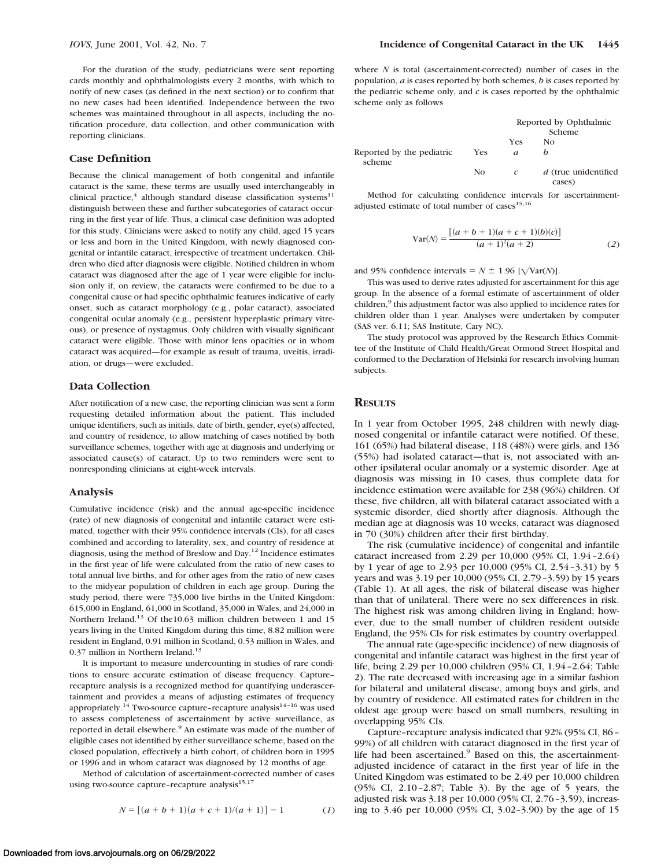For the duration of the study, pediatricians were sent reporting cards monthly and ophthalmologists every 2 months, with which to notify of new cases (as defined in the next section) or to confirm that no new cases had been identified. Independence between the two schemes was maintained throughout in all aspects, including the notification procedure, data collection, and other communication with reporting clinicians.

#### **Case Definition**

Because the clinical management of both congenital and infantile cataract is the same, these terms are usually used interchangeably in clinical practice,<sup>4</sup> although standard disease classification systems<sup>11</sup> distinguish between these and further subcategories of cataract occurring in the first year of life. Thus, a clinical case definition was adopted for this study. Clinicians were asked to notify any child, aged 15 years or less and born in the United Kingdom, with newly diagnosed congenital or infantile cataract, irrespective of treatment undertaken. Children who died after diagnosis were eligible. Notified children in whom cataract was diagnosed after the age of 1 year were eligible for inclusion only if, on review, the cataracts were confirmed to be due to a congenital cause or had specific ophthalmic features indicative of early onset, such as cataract morphology (e.g., polar cataract), associated congenital ocular anomaly (e.g., persistent hyperplastic primary vitreous), or presence of nystagmus. Only children with visually significant cataract were eligible. Those with minor lens opacities or in whom cataract was acquired—for example as result of trauma, uveitis, irradiation, or drugs—were excluded.

## **Data Collection**

After notification of a new case, the reporting clinician was sent a form requesting detailed information about the patient. This included unique identifiers, such as initials, date of birth, gender, eye(s) affected, and country of residence, to allow matching of cases notified by both surveillance schemes, together with age at diagnosis and underlying or associated cause(s) of cataract. Up to two reminders were sent to nonresponding clinicians at eight-week intervals.

#### **Analysis**

Cumulative incidence (risk) and the annual age-specific incidence (rate) of new diagnosis of congenital and infantile cataract were estimated, together with their 95% confidence intervals (CIs), for all cases combined and according to laterality, sex, and country of residence at diagnosis, using the method of Breslow and Day.<sup>12</sup> Incidence estimates in the first year of life were calculated from the ratio of new cases to total annual live births, and for other ages from the ratio of new cases to the midyear population of children in each age group. During the study period, there were 735,000 live births in the United Kingdom: 615,000 in England, 61,000 in Scotland, 35,000 in Wales, and 24,000 in Northern Ireland.<sup>13</sup> Of the10.63 million children between 1 and 15 years living in the United Kingdom during this time, 8.82 million were resident in England, 0.91 million in Scotland, 0.53 million in Wales, and 0.37 million in Northern Ireland.<sup>13</sup>

It is important to measure undercounting in studies of rare conditions to ensure accurate estimation of disease frequency. Capture– recapture analysis is a recognized method for quantifying underascertainment and provides a means of adjusting estimates of frequency appropriately.<sup>14</sup> Two-source capture-recapture analysis<sup>14-16</sup> was used to assess completeness of ascertainment by active surveillance, as reported in detail elsewhere.<sup>9</sup> An estimate was made of the number of eligible cases not identified by either surveillance scheme, based on the closed population, effectively a birth cohort, of children born in 1995 or 1996 and in whom cataract was diagnosed by 12 months of age.

Method of calculation of ascertainment-corrected number of cases using two-source capture-recapture analysis $15,17$ 

where *N* is total (ascertainment-corrected) number of cases in the population, *a* is cases reported by both schemes, *b* is cases reported by the pediatric scheme only, and *c* is cases reported by the ophthalmic scheme only as follows

|                                     |     | Reported by Ophthalmic |                                |
|-------------------------------------|-----|------------------------|--------------------------------|
|                                     |     |                        | Scheme                         |
|                                     |     | Yes                    | No                             |
| Reported by the pediatric<br>scheme | Yes | a                      |                                |
|                                     | No  | c                      | d (true unidentified<br>cases) |

Method for calculating confidence intervals for ascertainmentadjusted estimate of total number of cases<sup>15,16</sup>

$$
Var(N) = \frac{[(a+b+1)(a+c+1)(b)(c)]}{(a+1)^2(a+2)}
$$
(2)

and 95% confidence intervals =  $N \pm 1.96$  [ $\sqrt{Var(N)}$ ].

This was used to derive rates adjusted for ascertainment for this age group. In the absence of a formal estimate of ascertainment of older children,<sup>9</sup> this adjustment factor was also applied to incidence rates for children older than 1 year. Analyses were undertaken by computer (SAS ver. 6.11; SAS Institute, Cary NC).

The study protocol was approved by the Research Ethics Committee of the Institute of Child Health/Great Ormond Street Hospital and conformed to the Declaration of Helsinki for research involving human subjects.

#### **RESULTS**

In 1 year from October 1995, 248 children with newly diagnosed congenital or infantile cataract were notified. Of these, 161 (65%) had bilateral disease, 118 (48%) were girls, and 136 (55%) had isolated cataract—that is, not associated with another ipsilateral ocular anomaly or a systemic disorder. Age at diagnosis was missing in 10 cases, thus complete data for incidence estimation were available for 238 (96%) children. Of these, five children, all with bilateral cataract associated with a systemic disorder, died shortly after diagnosis. Although the median age at diagnosis was 10 weeks, cataract was diagnosed in 70 (30%) children after their first birthday.

The risk (cumulative incidence) of congenital and infantile cataract increased from 2.29 per 10,000 (95% CI, 1.94–2.64) by 1 year of age to 2.93 per 10,000 (95% CI, 2.54–3.31) by 5 years and was 3.19 per 10,000 (95% CI, 2.79–3.59) by 15 years (Table 1). At all ages, the risk of bilateral disease was higher than that of unilateral. There were no sex differences in risk. The highest risk was among children living in England; however, due to the small number of children resident outside England, the 95% CIs for risk estimates by country overlapped.

The annual rate (age-specific incidence) of new diagnosis of congenital and infantile cataract was highest in the first year of life, being 2.29 per 10,000 children (95% CI, 1.94–2.64; Table 2). The rate decreased with increasing age in a similar fashion for bilateral and unilateral disease, among boys and girls, and by country of residence. All estimated rates for children in the oldest age group were based on small numbers, resulting in overlapping 95% CIs.

Capture–recapture analysis indicated that 92% (95% CI, 86– 99%) of all children with cataract diagnosed in the first year of life had been ascertained.<sup>9</sup> Based on this, the ascertainmentadjusted incidence of cataract in the first year of life in the United Kingdom was estimated to be 2.49 per 10,000 children (95% CI, 2.10–2.87; Table 3). By the age of 5 years, the adjusted risk was 3.18 per 10,000 (95% CI, 2.76–3.59), increasing to 3.46 per 10,000 (95% CI, 3.02–3.90) by the age of 15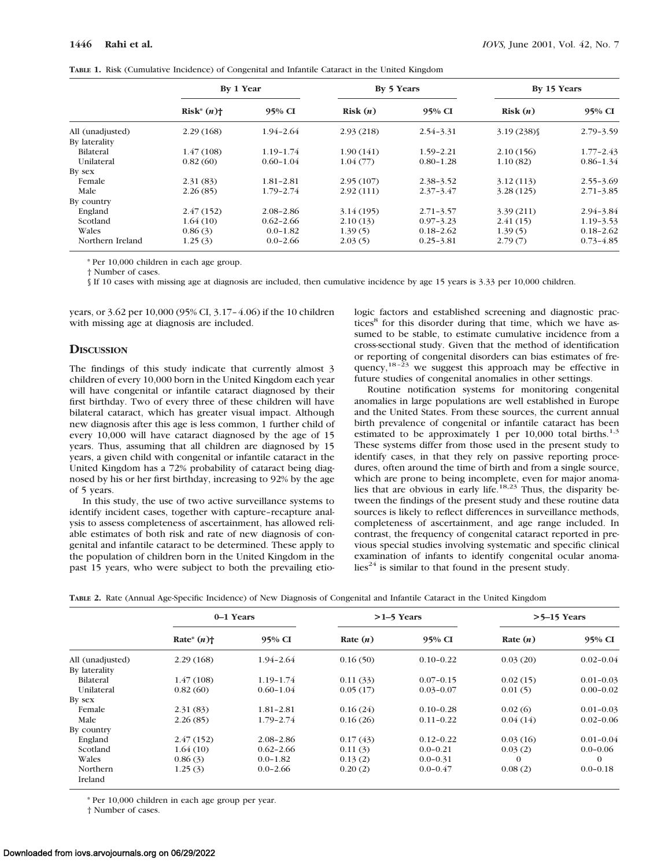|  |  | TABLE 1. Risk (Cumulative Incidence) of Congenital and Infantile Cataract in the United Kingdom |  |  |  |  |  |  |  |  |  |  |  |
|--|--|-------------------------------------------------------------------------------------------------|--|--|--|--|--|--|--|--|--|--|--|
|--|--|-------------------------------------------------------------------------------------------------|--|--|--|--|--|--|--|--|--|--|--|

|                  | By 1 Year     |               | By 5 Years |               | By 15 Years |               |  |
|------------------|---------------|---------------|------------|---------------|-------------|---------------|--|
|                  | $Risk^*(n)$ † | 95% CI        | Risk(n)    | 95% CI        | Risk(n)     | 95% CI        |  |
| All (unadjusted) | 2.29(168)     | $1.94 - 2.64$ | 2.93(218)  | $2.54 - 3.31$ | 3.19(238)   | $2.79 - 3.59$ |  |
| By laterality    |               |               |            |               |             |               |  |
| Bilateral        | 1.47(108)     | $1.19 - 1.74$ | 1.90(141)  | 1.59-2.21     | 2.10(156)   | $1.77 - 2.43$ |  |
| Unilateral       | 0.82(60)      | $0.60 - 1.04$ | 1.04(77)   | $0.80 - 1.28$ | 1.10(82)    | $0.86 - 1.34$ |  |
| By sex           |               |               |            |               |             |               |  |
| Female           | 2.31(83)      | $1.81 - 2.81$ | 2.95(107)  | 2.38-3.52     | 3.12(113)   | $2.55 - 3.69$ |  |
| Male             | 2.26(85)      | $1.79 - 2.74$ | 2.92(111)  | $2.37 - 3.47$ | 3.28(125)   | $2.71 - 3.85$ |  |
| By country       |               |               |            |               |             |               |  |
| England          | 2.47(152)     | $2.08 - 2.86$ | 3.14(195)  | $2.71 - 3.57$ | 3.39(211)   | 2.94-3.84     |  |
| Scotland         | 1.64(10)      | $0.62 - 2.66$ | 2.10(13)   | $0.97 - 3.23$ | 2.41(15)    | $1.19 - 3.53$ |  |
| Wales            | 0.86(3)       | $0.0 - 1.82$  | 1.39(5)    | $0.18 - 2.62$ | 1.39(5)     | $0.18 - 2.62$ |  |
| Northern Ireland | 1.25(3)       | $0.0 - 2.66$  | 2.03(5)    | $0.25 - 3.81$ | 2.79(7)     | $0.73 - 4.85$ |  |

\* Per 10,000 children in each age group.

† Number of cases.

§ If 10 cases with missing age at diagnosis are included, then cumulative incidence by age 15 years is 3.33 per 10,000 children.

years, or 3.62 per 10,000 (95% CI, 3.17–4.06) if the 10 children with missing age at diagnosis are included.

#### **DISCUSSION**

The findings of this study indicate that currently almost 3 children of every 10,000 born in the United Kingdom each year will have congenital or infantile cataract diagnosed by their first birthday. Two of every three of these children will have bilateral cataract, which has greater visual impact. Although new diagnosis after this age is less common, 1 further child of every 10,000 will have cataract diagnosed by the age of 15 years. Thus, assuming that all children are diagnosed by 15 years, a given child with congenital or infantile cataract in the United Kingdom has a 72% probability of cataract being diagnosed by his or her first birthday, increasing to 92% by the age of 5 years.

In this study, the use of two active surveillance systems to identify incident cases, together with capture–recapture analysis to assess completeness of ascertainment, has allowed reliable estimates of both risk and rate of new diagnosis of congenital and infantile cataract to be determined. These apply to the population of children born in the United Kingdom in the past 15 years, who were subject to both the prevailing etiologic factors and established screening and diagnostic practices<sup>8</sup> for this disorder during that time, which we have assumed to be stable, to estimate cumulative incidence from a cross-sectional study. Given that the method of identification or reporting of congenital disorders can bias estimates of frequency,  $18-23$  we suggest this approach may be effective in future studies of congenital anomalies in other settings.

Routine notification systems for monitoring congenital anomalies in large populations are well established in Europe and the United States. From these sources, the current annual birth prevalence of congenital or infantile cataract has been estimated to be approximately 1 per  $10,000$  total births.<sup>1,3</sup> These systems differ from those used in the present study to identify cases, in that they rely on passive reporting procedures, often around the time of birth and from a single source, which are prone to being incomplete, even for major anomalies that are obvious in early life.<sup>18,23</sup> Thus, the disparity between the findings of the present study and these routine data sources is likely to reflect differences in surveillance methods, completeness of ascertainment, and age range included. In contrast, the frequency of congenital cataract reported in previous special studies involving systematic and specific clinical examination of infants to identify congenital ocular anoma- $\text{lies}^{24}$  is similar to that found in the present study.

**TABLE 2.** Rate (Annual Age-Specific Incidence) of New Diagnosis of Congenital and Infantile Cataract in the United Kingdom

|                            | 0-1 Years     |               |            | $>1-5$ Years  | $>5-15$ Years |               |  |
|----------------------------|---------------|---------------|------------|---------------|---------------|---------------|--|
|                            | Rate* $(n)$ † | 95% CI        | Rate $(n)$ | 95% CI        | Rate $(n)$    | 95% CI        |  |
| All (unadjusted)           | 2.29(168)     | $1.94 - 2.64$ | 0.16(50)   | $0.10 - 0.22$ | 0.03(20)      | $0.02 - 0.04$ |  |
| By laterality              |               |               |            |               |               |               |  |
| <b>Bilateral</b>           | 1.47(108)     | $1.19 - 1.74$ | 0.11(33)   | $0.07 - 0.15$ | 0.02(15)      | $0.01 - 0.03$ |  |
| Unilateral                 | 0.82(60)      | $0.60 - 1.04$ | 0.05(17)   | $0.03 - 0.07$ | 0.01(5)       | $0.00 - 0.02$ |  |
| By sex                     |               |               |            |               |               |               |  |
| Female                     | 2.31(83)      | $1.81 - 2.81$ | 0.16(24)   | $0.10 - 0.28$ | 0.02(6)       | $0.01 - 0.03$ |  |
| Male                       | 2.26(85)      | $1.79 - 2.74$ | 0.16(26)   | $0.11 - 0.22$ | 0.04(14)      | $0.02 - 0.06$ |  |
| By country                 |               |               |            |               |               |               |  |
| England                    | 2.47(152)     | $2.08 - 2.86$ | 0.17(43)   | $0.12 - 0.22$ | 0.03(16)      | $0.01 - 0.04$ |  |
| Scotland                   | 1.64(10)      | $0.62 - 2.66$ | 0.11(3)    | $0.0 - 0.21$  | 0.03(2)       | $0.0 - 0.06$  |  |
| Wales                      | 0.86(3)       | $0.0 - 1.82$  | 0.13(2)    | $0.0 - 0.31$  | $\Omega$      | $\Omega$      |  |
| <b>Northern</b><br>Ireland | 1.25(3)       | $0.0 - 2.66$  | 0.20(2)    | $0.0 - 0.47$  | 0.08(2)       | $0.0 - 0.18$  |  |

\* Per 10,000 children in each age group per year.

† Number of cases.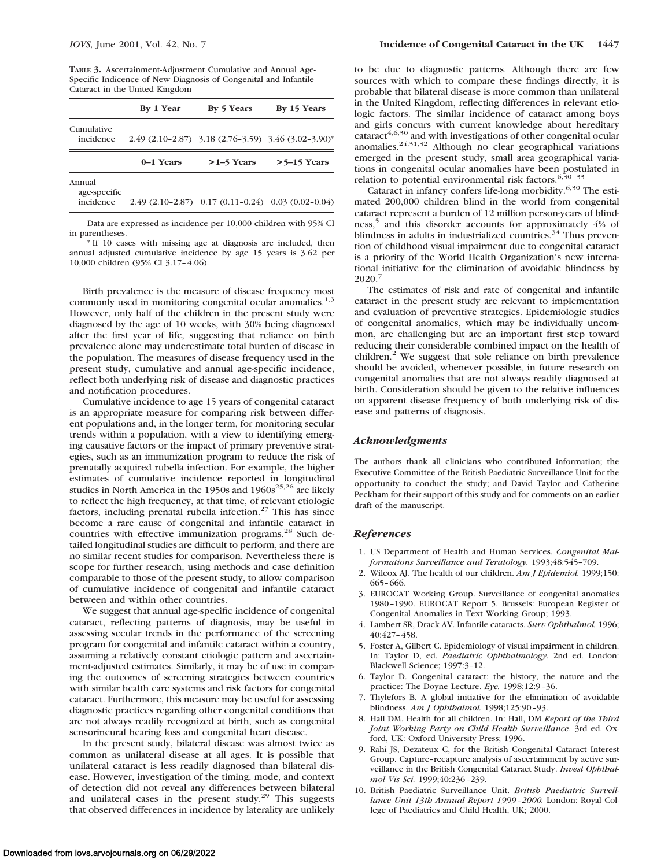|                         | By 1 Year | By 5 Years   | By 15 Years                                         |
|-------------------------|-----------|--------------|-----------------------------------------------------|
| Cumulative<br>incidence |           |              | 2.49 (2.10-2.87) 3.18 (2.76-3.59) 3.46 (3.02-3.90)* |
|                         | 0–1 Years | $>1-5$ Years | $>5-15$ Years                                       |
| Annual<br>age-specific  |           |              |                                                     |

incidence 2.49 (2.10–2.87) 0.17 (0.11–0.24) 0.03 (0.02–0.04)

Data are expressed as incidence per 10,000 children with 95% CI in parentheses.

\* If 10 cases with missing age at diagnosis are included, then annual adjusted cumulative incidence by age 15 years is 3.62 per 10,000 children (95% CI 3.17–4.06).

Birth prevalence is the measure of disease frequency most commonly used in monitoring congenital ocular anomalies. $1,3$ However, only half of the children in the present study were diagnosed by the age of 10 weeks, with 30% being diagnosed after the first year of life, suggesting that reliance on birth prevalence alone may underestimate total burden of disease in the population. The measures of disease frequency used in the present study, cumulative and annual age-specific incidence, reflect both underlying risk of disease and diagnostic practices and notification procedures.

Cumulative incidence to age 15 years of congenital cataract is an appropriate measure for comparing risk between different populations and, in the longer term, for monitoring secular trends within a population, with a view to identifying emerging causative factors or the impact of primary preventive strategies, such as an immunization program to reduce the risk of prenatally acquired rubella infection. For example, the higher estimates of cumulative incidence reported in longitudinal studies in North America in the 1950s and  $1960s^{25,26}$  are likely to reflect the high frequency, at that time, of relevant etiologic factors, including prenatal rubella infection.<sup>27</sup> This has since become a rare cause of congenital and infantile cataract in countries with effective immunization programs.<sup>28</sup> Such detailed longitudinal studies are difficult to perform, and there are no similar recent studies for comparison. Nevertheless there is scope for further research, using methods and case definition comparable to those of the present study, to allow comparison of cumulative incidence of congenital and infantile cataract between and within other countries.

We suggest that annual age-specific incidence of congenital cataract, reflecting patterns of diagnosis, may be useful in assessing secular trends in the performance of the screening program for congenital and infantile cataract within a country, assuming a relatively constant etiologic pattern and ascertainment-adjusted estimates. Similarly, it may be of use in comparing the outcomes of screening strategies between countries with similar health care systems and risk factors for congenital cataract. Furthermore, this measure may be useful for assessing diagnostic practices regarding other congenital conditions that are not always readily recognized at birth, such as congenital sensorineural hearing loss and congenital heart disease.

In the present study, bilateral disease was almost twice as common as unilateral disease at all ages. It is possible that unilateral cataract is less readily diagnosed than bilateral disease. However, investigation of the timing, mode, and context of detection did not reveal any differences between bilateral and unilateral cases in the present study.<sup>29</sup> This suggests that observed differences in incidence by laterality are unlikely

to be due to diagnostic patterns. Although there are few sources with which to compare these findings directly, it is probable that bilateral disease is more common than unilateral in the United Kingdom, reflecting differences in relevant etiologic factors. The similar incidence of cataract among boys and girls concurs with current knowledge about hereditary  $\text{cataract}^{4,6,30}$  and with investigations of other congenital ocular anomalies.<sup>24,31,32</sup> Although no clear geographical variations emerged in the present study, small area geographical variations in congenital ocular anomalies have been postulated in relation to potential environmental risk factors.<sup>6,30-33</sup>

Cataract in infancy confers life-long morbidity.<sup>6,30</sup> The estimated 200,000 children blind in the world from congenital cataract represent a burden of 12 million person-years of blindness,<sup>5</sup> and this disorder accounts for approximately 4% of blindness in adults in industrialized countries.<sup>34</sup> Thus prevention of childhood visual impairment due to congenital cataract is a priority of the World Health Organization's new international initiative for the elimination of avoidable blindness by 2020.7

The estimates of risk and rate of congenital and infantile cataract in the present study are relevant to implementation and evaluation of preventive strategies. Epidemiologic studies of congenital anomalies, which may be individually uncommon, are challenging but are an important first step toward reducing their considerable combined impact on the health of children.<sup>2</sup> We suggest that sole reliance on birth prevalence should be avoided, whenever possible, in future research on congenital anomalies that are not always readily diagnosed at birth. Consideration should be given to the relative influences on apparent disease frequency of both underlying risk of disease and patterns of diagnosis.

#### *Acknowledgments*

The authors thank all clinicians who contributed information; the Executive Committee of the British Paediatric Surveillance Unit for the opportunity to conduct the study; and David Taylor and Catherine Peckham for their support of this study and for comments on an earlier draft of the manuscript.

#### *References*

- 1. US Department of Health and Human Services. *Congenital Malformations Surveillance and Teratology.* 1993;48:545–709.
- 2. Wilcox AJ. The health of our children. *Am J Epidemiol.* 1999;150: 665–666.
- 3. EUROCAT Working Group. Surveillance of congenital anomalies 1980–1990. EUROCAT Report 5. Brussels: European Register of Congenital Anomalies in Text Working Group; 1993.
- 4. Lambert SR, Drack AV. Infantile cataracts. *Surv Ophthalmol.* 1996; 40:427–458.
- 5. Foster A, Gilbert C. Epidemiology of visual impairment in children. In: Taylor D, ed. *Paediatric Ophthalmology.* 2nd ed. London: Blackwell Science; 1997:3–12.
- 6. Taylor D. Congenital cataract: the history, the nature and the practice: The Doyne Lecture. *Eye.* 1998;12:9–36.
- 7. Thylefors B. A global initiative for the elimination of avoidable blindness. *Am J Ophthalmol.* 1998;125:90–93.
- 8. Hall DM. Health for all children. In: Hall, DM *Report of the Third Joint Working Party on Child Health Surveillance*. 3rd ed. Oxford, UK: Oxford University Press; 1996.
- 9. Rahi JS, Dezateux C, for the British Congenital Cataract Interest Group. Capture–recapture analysis of ascertainment by active surveillance in the British Congenital Cataract Study. *Invest Ophthalmol Vis Sci.* 1999;40:236–239.
- 10. British Paediatric Surveillance Unit. *British Paediatric Surveillance Unit 13th Annual Report 1999–2000.* London: Royal College of Paediatrics and Child Health, UK; 2000.